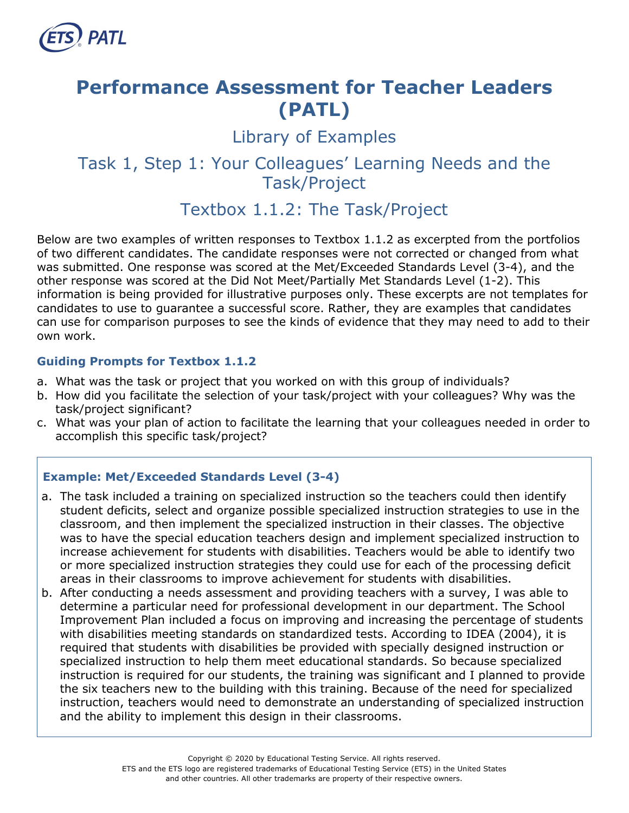

# **Performance Assessment for Teacher Leaders (PATL)**

Library of Examples

# Task 1, Step 1: Your Colleagues' Learning Needs and the Task/Project

# Textbox 1.1.2: The Task/Project

Below are two examples of written responses to Textbox 1.1.2 as excerpted from the portfolios of two different candidates. The candidate responses were not corrected or changed from what was submitted. One response was scored at the Met/Exceeded Standards Level (3-4), and the other response was scored at the Did Not Meet/Partially Met Standards Level (1-2). This information is being provided for illustrative purposes only. These excerpts are not templates for candidates to use to guarantee a successful score. Rather, they are examples that candidates can use for comparison purposes to see the kinds of evidence that they may need to add to their own work.

#### **Guiding Prompts for Textbox 1.1.2**

- a. What was the task or project that you worked on with this group of individuals?
- b. How did you facilitate the selection of your task/project with your colleagues? Why was the task/project significant?
- c. What was your plan of action to facilitate the learning that your colleagues needed in order to accomplish this specific task/project?

# **Example: Met/Exceeded Standards Level (3-4)**

- a. The task included a training on specialized instruction so the teachers could then identify student deficits, select and organize possible specialized instruction strategies to use in the classroom, and then implement the specialized instruction in their classes. The objective was to have the special education teachers design and implement specialized instruction to increase achievement for students with disabilities. Teachers would be able to identify two or more specialized instruction strategies they could use for each of the processing deficit areas in their classrooms to improve achievement for students with disabilities.
- b. After conducting a needs assessment and providing teachers with a survey, I was able to determine a particular need for professional development in our department. The School Improvement Plan included a focus on improving and increasing the percentage of students with disabilities meeting standards on standardized tests. According to IDEA (2004), it is required that students with disabilities be provided with specially designed instruction or specialized instruction to help them meet educational standards. So because specialized instruction is required for our students, the training was significant and I planned to provide the six teachers new to the building with this training. Because of the need for specialized instruction, teachers would need to demonstrate an understanding of specialized instruction and the ability to implement this design in their classrooms.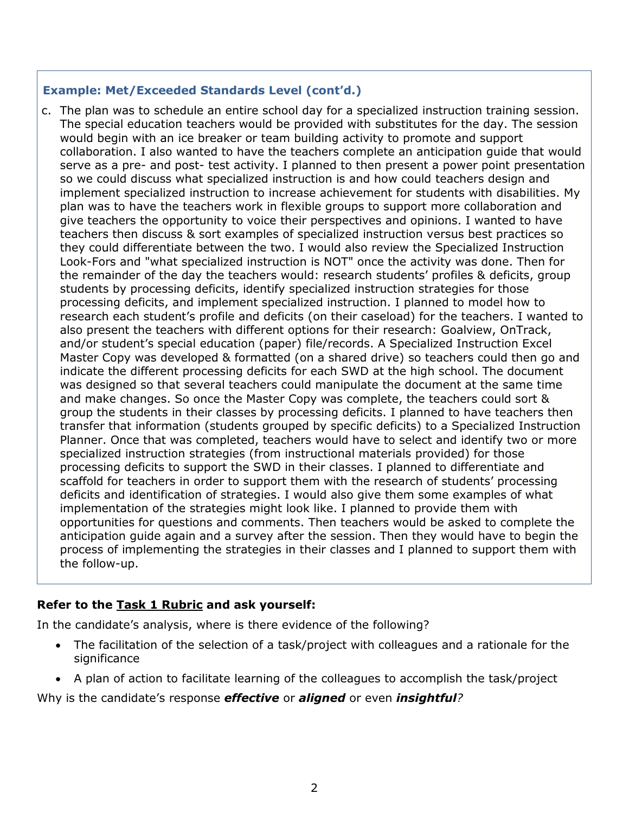#### **Example: Met/Exceeded Standards Level (cont'd.)**

c. The plan was to schedule an entire school day for a specialized instruction training session. The special education teachers would be provided with substitutes for the day. The session would begin with an ice breaker or team building activity to promote and support collaboration. I also wanted to have the teachers complete an anticipation guide that would serve as a pre- and post- test activity. I planned to then present a power point presentation so we could discuss what specialized instruction is and how could teachers design and implement specialized instruction to increase achievement for students with disabilities. My plan was to have the teachers work in flexible groups to support more collaboration and give teachers the opportunity to voice their perspectives and opinions. I wanted to have teachers then discuss & sort examples of specialized instruction versus best practices so they could differentiate between the two. I would also review the Specialized Instruction Look-Fors and "what specialized instruction is NOT" once the activity was done. Then for the remainder of the day the teachers would: research students' profiles & deficits, group students by processing deficits, identify specialized instruction strategies for those processing deficits, and implement specialized instruction. I planned to model how to research each student's profile and deficits (on their caseload) for the teachers. I wanted to also present the teachers with different options for their research: Goalview, OnTrack, and/or student's special education (paper) file/records. A Specialized Instruction Excel Master Copy was developed & formatted (on a shared drive) so teachers could then go and indicate the different processing deficits for each SWD at the high school. The document was designed so that several teachers could manipulate the document at the same time and make changes. So once the Master Copy was complete, the teachers could sort & group the students in their classes by processing deficits. I planned to have teachers then transfer that information (students grouped by specific deficits) to a Specialized Instruction Planner. Once that was completed, teachers would have to select and identify two or more specialized instruction strategies (from instructional materials provided) for those processing deficits to support the SWD in their classes. I planned to differentiate and scaffold for teachers in order to support them with the research of students' processing deficits and identification of strategies. I would also give them some examples of what implementation of the strategies might look like. I planned to provide them with opportunities for questions and comments. Then teachers would be asked to complete the anticipation guide again and a survey after the session. Then they would have to begin the process of implementing the strategies in their classes and I planned to support them with the follow-up.

#### **Refer to the [Task 1 Rubric](http://gace.ets.org/s/pdf/gace_teacher_leadership_assessment_task_1_rubric.pdf) and ask yourself:**

In the candidate's analysis, where is there evidence of the following?

- The facilitation of the selection of a task/project with colleagues and a rationale for the significance
- A plan of action to facilitate learning of the colleagues to accomplish the task/project

Why is the candidate's response *effective* or *aligned* or even *insightful?*